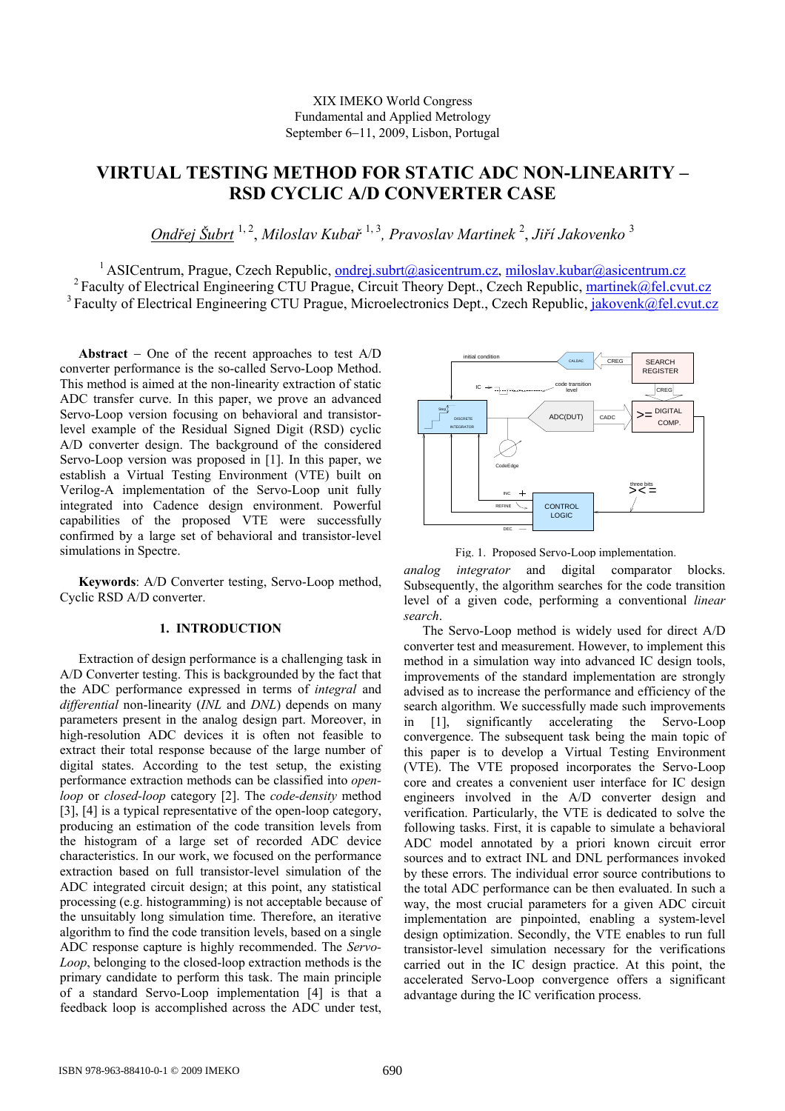# **VIRTUAL TESTING METHOD FOR STATIC ADC NON-LINEARITY – RSD CYCLIC A/D CONVERTER CASE**

*Ondřej Šubrt* 1, 2, *Miloslav Kubař* 1, 3*, Pravoslav Martinek* <sup>2</sup> , *Jiří Jakovenko* <sup>3</sup>

<sup>1</sup> ASICentrum, Prague, Czech Republic, ondrej.subrt@asicentrum.cz, miloslav.kubar@asicentrum.cz <sup>2</sup> Faculty of Electrical Engineering CTU Prague, Circuit Theory Dept., Czech Republic, martinek@fel.cvut.cz <sup>3</sup> Faculty of Electrical Engineering CTU Prague, Microelectronics Dept., Czech Republic, jakovenk@fel.cvut.cz

**Abstract** − One of the recent approaches to test A/D converter performance is the so-called Servo-Loop Method. This method is aimed at the non-linearity extraction of static ADC transfer curve. In this paper, we prove an advanced Servo-Loop version focusing on behavioral and transistorlevel example of the Residual Signed Digit (RSD) cyclic A/D converter design. The background of the considered Servo-Loop version was proposed in [1]. In this paper, we establish a Virtual Testing Environment (VTE) built on Verilog-A implementation of the Servo-Loop unit fully integrated into Cadence design environment. Powerful capabilities of the proposed VTE were successfully confirmed by a large set of behavioral and transistor-level simulations in Spectre.

**Keywords**: A/D Converter testing, Servo-Loop method, Cyclic RSD A/D converter.

## **1. INTRODUCTION**

Extraction of design performance is a challenging task in A/D Converter testing. This is backgrounded by the fact that the ADC performance expressed in terms of *integral* and *differential* non-linearity (*INL* and *DNL*) depends on many parameters present in the analog design part. Moreover, in high-resolution ADC devices it is often not feasible to extract their total response because of the large number of digital states. According to the test setup, the existing performance extraction methods can be classified into *openloop* or *closed-loop* category [2]. The *code-density* method [3], [4] is a typical representative of the open-loop category, producing an estimation of the code transition levels from the histogram of a large set of recorded ADC device characteristics. In our work, we focused on the performance extraction based on full transistor-level simulation of the ADC integrated circuit design; at this point, any statistical processing (e.g. histogramming) is not acceptable because of the unsuitably long simulation time. Therefore, an iterative algorithm to find the code transition levels, based on a single ADC response capture is highly recommended. The *Servo-Loop*, belonging to the closed-loop extraction methods is the primary candidate to perform this task. The main principle of a standard Servo-Loop implementation [4] is that a feedback loop is accomplished across the ADC under test,



Fig. 1. Proposed Servo-Loop implementation.

*analog integrator* and digital comparator blocks. Subsequently, the algorithm searches for the code transition level of a given code, performing a conventional *linear search*.

The Servo-Loop method is widely used for direct A/D converter test and measurement. However, to implement this method in a simulation way into advanced IC design tools, improvements of the standard implementation are strongly advised as to increase the performance and efficiency of the search algorithm. We successfully made such improvements in [1], significantly accelerating the Servo-Loop convergence. The subsequent task being the main topic of this paper is to develop a Virtual Testing Environment (VTE). The VTE proposed incorporates the Servo-Loop core and creates a convenient user interface for IC design engineers involved in the A/D converter design and verification. Particularly, the VTE is dedicated to solve the following tasks. First, it is capable to simulate a behavioral ADC model annotated by a priori known circuit error sources and to extract INL and DNL performances invoked by these errors. The individual error source contributions to the total ADC performance can be then evaluated. In such a way, the most crucial parameters for a given ADC circuit implementation are pinpointed, enabling a system-level design optimization. Secondly, the VTE enables to run full transistor-level simulation necessary for the verifications carried out in the IC design practice. At this point, the accelerated Servo-Loop convergence offers a significant advantage during the IC verification process.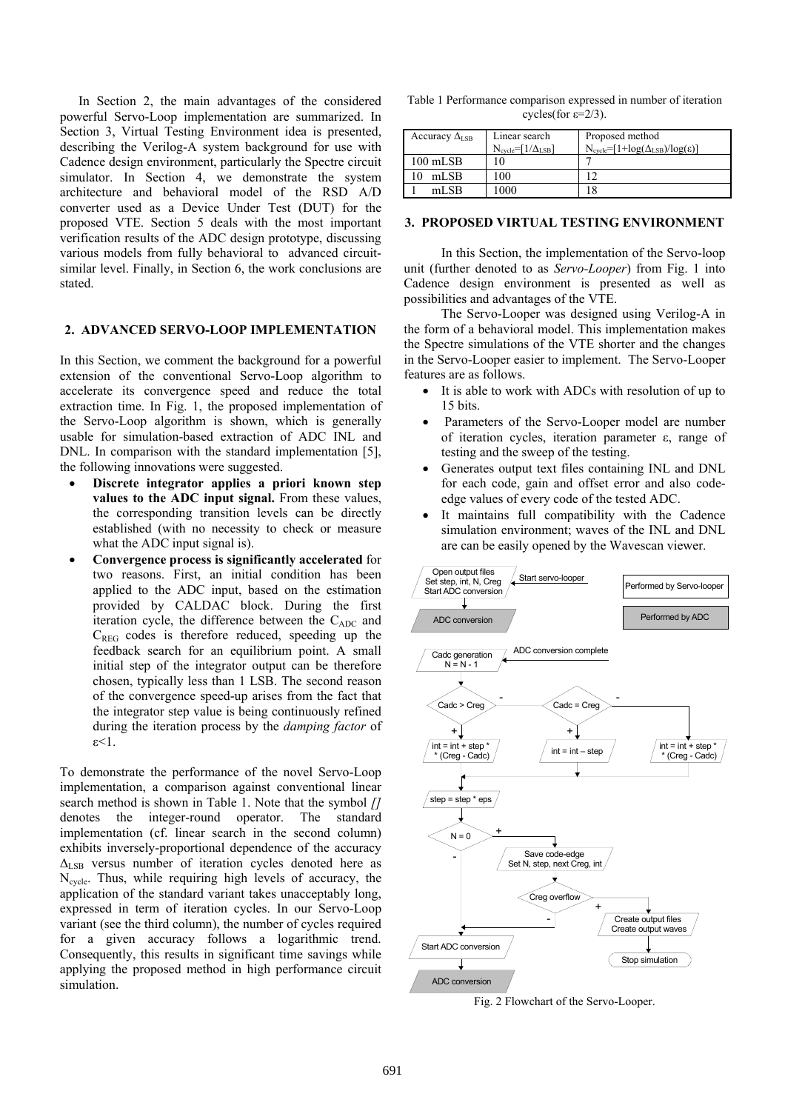In Section 2, the main advantages of the considered powerful Servo-Loop implementation are summarized. In Section 3, Virtual Testing Environment idea is presented, describing the Verilog-A system background for use with Cadence design environment, particularly the Spectre circuit simulator. In Section 4, we demonstrate the system architecture and behavioral model of the RSD A/D converter used as a Device Under Test (DUT) for the proposed VTE. Section 5 deals with the most important verification results of the ADC design prototype, discussing various models from fully behavioral to advanced circuitsimilar level. Finally, in Section 6, the work conclusions are stated.

## **2. ADVANCED SERVO-LOOP IMPLEMENTATION**

In this Section, we comment the background for a powerful extension of the conventional Servo-Loop algorithm to accelerate its convergence speed and reduce the total extraction time. In Fig. 1, the proposed implementation of the Servo-Loop algorithm is shown, which is generally usable for simulation-based extraction of ADC INL and DNL. In comparison with the standard implementation [5], the following innovations were suggested.

- **Discrete integrator applies a priori known step values to the ADC input signal.** From these values, the corresponding transition levels can be directly established (with no necessity to check or measure what the ADC input signal is).
- **Convergence process is significantly accelerated** for two reasons. First, an initial condition has been applied to the ADC input, based on the estimation provided by CALDAC block. During the first iteration cycle, the difference between the  $C_{ADC}$  and  $C<sub>REG</sub> codes is therefore reduced, speeding up the$ feedback search for an equilibrium point. A small initial step of the integrator output can be therefore chosen, typically less than 1 LSB. The second reason of the convergence speed-up arises from the fact that the integrator step value is being continuously refined during the iteration process by the *damping factor* of ε<1.

To demonstrate the performance of the novel Servo-Loop implementation, a comparison against conventional linear search method is shown in Table 1. Note that the symbol *[]* denotes the integer-round operator. The standard implementation (cf. linear search in the second column) exhibits inversely-proportional dependence of the accuracy  $\Delta_{\text{LSB}}$  versus number of iteration cycles denoted here as N<sub>cycle</sub>. Thus, while requiring high levels of accuracy, the application of the standard variant takes unacceptably long, expressed in term of iteration cycles. In our Servo-Loop variant (see the third column), the number of cycles required for a given accuracy follows a logarithmic trend. Consequently, this results in significant time savings while applying the proposed method in high performance circuit simulation.

| Table 1 Performance comparison expressed in number of iteration |                                   |  |  |
|-----------------------------------------------------------------|-----------------------------------|--|--|
|                                                                 | cycles(for $\varepsilon = 2/3$ ). |  |  |

| Accuracy $\Delta_{\text{LSB}}$ | Linear search                              | Proposed method                                                 |  |  |
|--------------------------------|--------------------------------------------|-----------------------------------------------------------------|--|--|
|                                | $N_{\text{cycle}}=[1/\Delta_{\text{LSB}}]$ | $N_{\text{cycle}}=[1+\log(\Delta_{\text{LSB}})/\log(\epsilon)]$ |  |  |
| $100$ mLSB                     |                                            |                                                                 |  |  |
| mLSB                           | 100                                        |                                                                 |  |  |
| mLSB                           | 1000                                       |                                                                 |  |  |

#### **3. PROPOSED VIRTUAL TESTING ENVIRONMENT**

 In this Section, the implementation of the Servo-loop unit (further denoted to as *Servo-Looper*) from Fig. 1 into Cadence design environment is presented as well as possibilities and advantages of the VTE.

 The Servo-Looper was designed using Verilog-A in the form of a behavioral model. This implementation makes the Spectre simulations of the VTE shorter and the changes in the Servo-Looper easier to implement. The Servo-Looper features are as follows.

- It is able to work with ADCs with resolution of up to 15 bits.
- Parameters of the Servo-Looper model are number of iteration cycles, iteration parameter ε, range of testing and the sweep of the testing.
- Generates output text files containing INL and DNL for each code, gain and offset error and also codeedge values of every code of the tested ADC.
- It maintains full compatibility with the Cadence simulation environment; waves of the INL and DNL are can be easily opened by the Wavescan viewer.



Fig. 2 Flowchart of the Servo-Looper.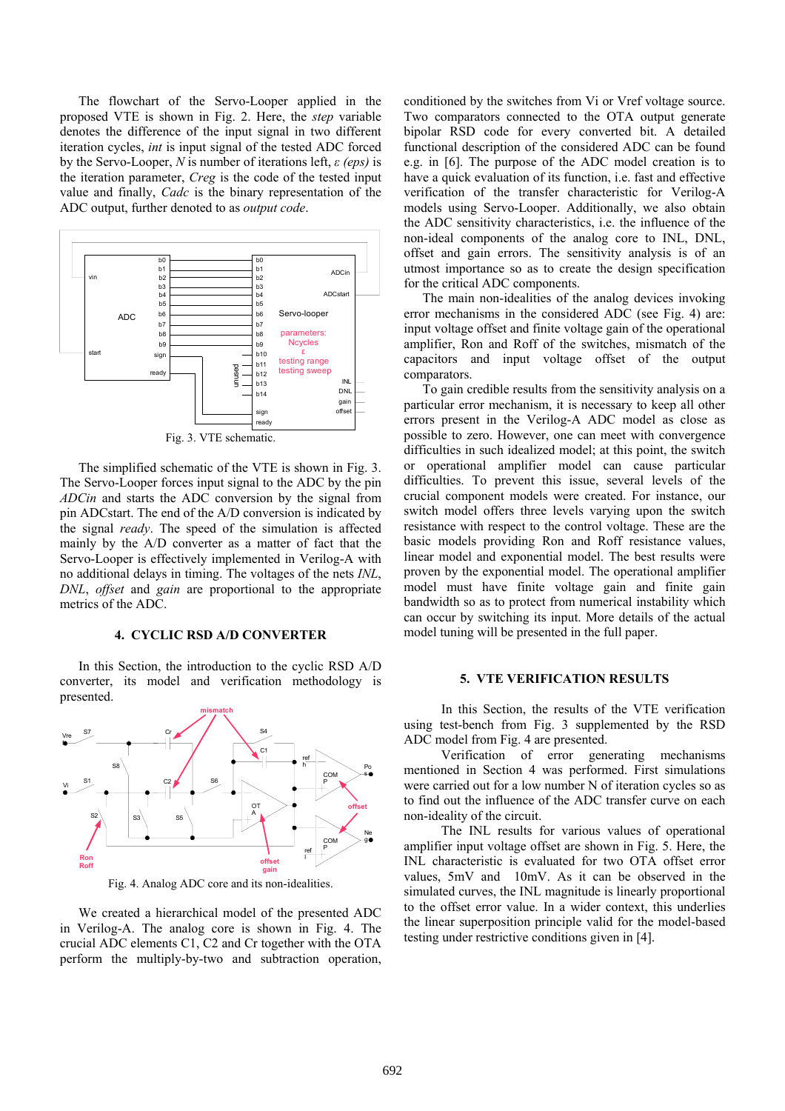The flowchart of the Servo-Looper applied in the proposed VTE is shown in Fig. 2. Here, the *step* variable denotes the difference of the input signal in two different iteration cycles, *int* is input signal of the tested ADC forced by the Servo-Looper, *N* is number of iterations left, *ε (eps)* is the iteration parameter, *Creg* is the code of the tested input value and finally, *Cadc* is the binary representation of the ADC output, further denoted to as *output code*.



Fig. 3. VTE schematic.

The simplified schematic of the VTE is shown in Fig. 3. The Servo-Looper forces input signal to the ADC by the pin *ADCin* and starts the ADC conversion by the signal from pin ADCstart. The end of the A/D conversion is indicated by the signal *ready*. The speed of the simulation is affected mainly by the A/D converter as a matter of fact that the Servo-Looper is effectively implemented in Verilog-A with no additional delays in timing. The voltages of the nets *INL*, *DNL*, *offset* and *gain* are proportional to the appropriate metrics of the ADC.

#### **4. CYCLIC RSD A/D CONVERTER**

In this Section, the introduction to the cyclic RSD A/D converter, its model and verification methodology is presented.



Fig. 4. Analog ADC core and its non-idealities.

We created a hierarchical model of the presented ADC in Verilog-A. The analog core is shown in Fig. 4. The crucial ADC elements C1, C2 and Cr together with the OTA perform the multiply-by-two and subtraction operation, conditioned by the switches from Vi or Vref voltage source. Two comparators connected to the OTA output generate bipolar RSD code for every converted bit. A detailed functional description of the considered ADC can be found e.g. in [6]. The purpose of the ADC model creation is to have a quick evaluation of its function, i.e. fast and effective verification of the transfer characteristic for Verilog-A models using Servo-Looper. Additionally, we also obtain the ADC sensitivity characteristics, i.e. the influence of the non-ideal components of the analog core to INL, DNL, offset and gain errors. The sensitivity analysis is of an utmost importance so as to create the design specification for the critical ADC components.

The main non-idealities of the analog devices invoking error mechanisms in the considered ADC (see Fig. 4) are: input voltage offset and finite voltage gain of the operational amplifier, Ron and Roff of the switches, mismatch of the capacitors and input voltage offset of the output comparators.

To gain credible results from the sensitivity analysis on a particular error mechanism, it is necessary to keep all other errors present in the Verilog-A ADC model as close as possible to zero. However, one can meet with convergence difficulties in such idealized model; at this point, the switch or operational amplifier model can cause particular difficulties. To prevent this issue, several levels of the crucial component models were created. For instance, our switch model offers three levels varying upon the switch resistance with respect to the control voltage. These are the basic models providing Ron and Roff resistance values, linear model and exponential model. The best results were proven by the exponential model. The operational amplifier model must have finite voltage gain and finite gain bandwidth so as to protect from numerical instability which can occur by switching its input. More details of the actual model tuning will be presented in the full paper.

#### **5. VTE VERIFICATION RESULTS**

 In this Section, the results of the VTE verification using test-bench from Fig. 3 supplemented by the RSD ADC model from Fig. 4 are presented.

 Verification of error generating mechanisms mentioned in Section 4 was performed. First simulations were carried out for a low number N of iteration cycles so as to find out the influence of the ADC transfer curve on each non-ideality of the circuit.

 The INL results for various values of operational amplifier input voltage offset are shown in Fig. 5. Here, the INL characteristic is evaluated for two OTA offset error values, 5mV and 10mV. As it can be observed in the simulated curves, the INL magnitude is linearly proportional to the offset error value. In a wider context, this underlies the linear superposition principle valid for the model-based testing under restrictive conditions given in [4].